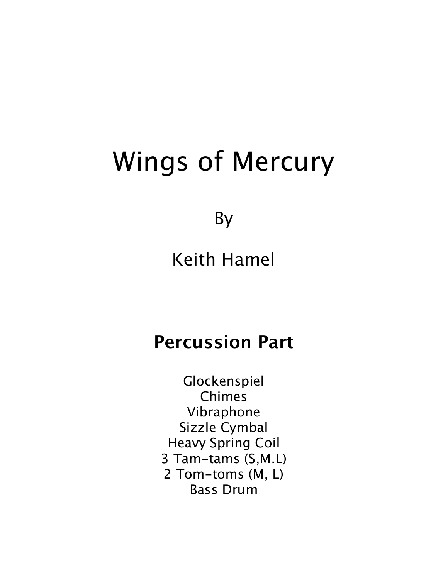## Wings of Mercury

By

Keith Hamel

## **Percussion Part**

Glockenspiel Chimes Vibraphone Sizzle Cymbal Heavy Spring Coil 3 Tam-tams (S,M.L) 2 Tom-toms (M, L) Bass Drum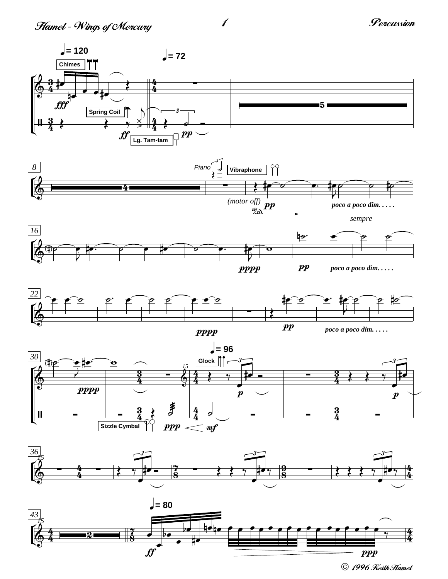## Percussion



 <sup>1996</sup> Keith Hamel

1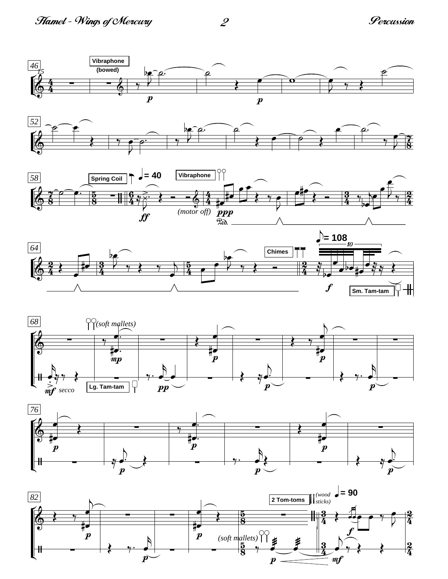











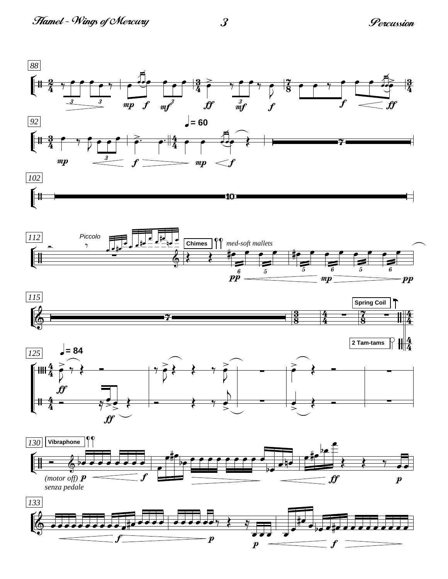

 $\mathcal{S}_{0}$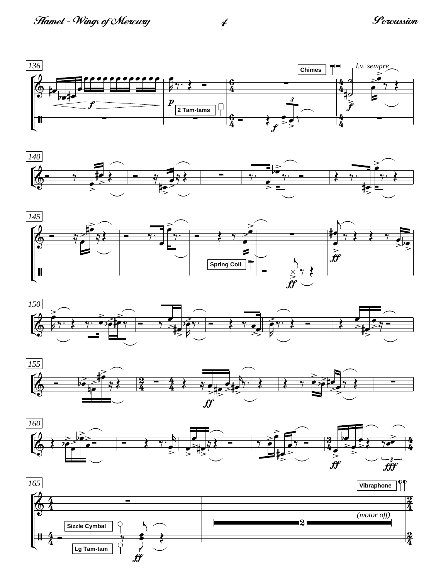













 $\boldsymbol{\cancel{t}}$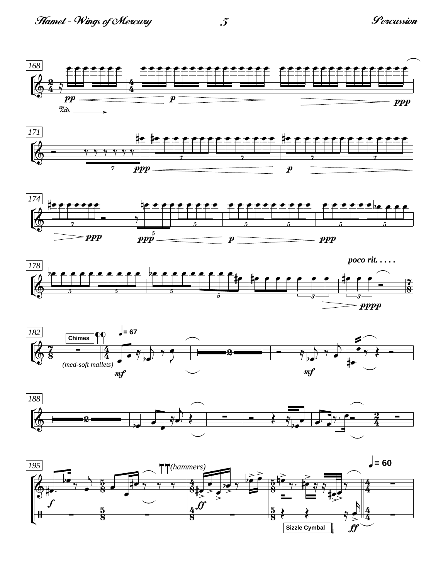